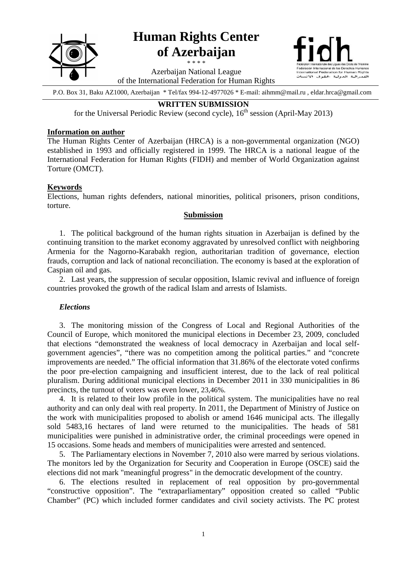

P.O. Box 31, Baku AZ1000, Azerbaijan \* Tel/fax 994-12-4977026 \* E-mail: aihmm@mail.ru , eldar.hrca@gmail.com

# **WRITTEN SUBMISSION**

for the Universal Periodic Review (second cycle),  $16<sup>th</sup>$  session (April-May 2013)

#### **Information on author**

The Human Rights Center of Azerbaijan (HRCA) is a non-governmental organization (NGO) established in 1993 and officially registered in 1999. The HRCA is a national league of the International Federation for Human Rights (FIDH) and member of World Organization against Torture (OMCT).

## **Keywords**

Elections, human rights defenders, national minorities, political prisoners, prison conditions, torture.

### **Submission**

1. The political background of the human rights situation in Azerbaijan is defined by the continuing transition to the market economy aggravated by unresolved conflict with neighboring Armenia for the Nagorno-Karabakh region, authoritarian tradition of governance, election frauds, corruption and lack of national reconciliation. The economy is based at the exploration of Caspian oil and gas.

2. Last years, the suppression of secular opposition, Islamic revival and influence of foreign countries provoked the growth of the radical Islam and arrests of Islamists.

#### *Elections*

3. The monitoring mission of the Congress of Local and Regional Authorities of the Council of Europe, which monitored the municipal elections in December 23, 2009, concluded that elections "demonstrated the weakness of local democracy in Azerbaijan and local selfgovernment agencies", "there was no competition among the political parties." and "concrete improvements are needed." The official information that 31.86% of the electorate voted confirms the poor pre-election campaigning and insufficient interest, due to the lack of real political pluralism. During additional municipal elections in December 2011 in 330 municipalities in 86 precincts, the turnout of voters was even lower, 23,46%.

4. It is related to their low profile in the political system. The municipalities have no real authority and can only deal with real property. In 2011, the Department of Ministry of Justice on the work with municipalities proposed to abolish or amend 1646 municipal acts. The illegally sold 5483,16 hectares of land were returned to the municipalities. The heads of 581 municipalities were punished in administrative order, the criminal proceedings were opened in 15 occasions. Some heads and members of municipalities were arrested and sentenced.

5. The Parliamentary elections in November 7, 2010 also were marred by serious violations. The monitors led by the Organization for Security and Cooperation in Europe (OSCE) said the elections did not mark "meaningful progress" in the democratic development of the country.

6. The elections resulted in replacement of real opposition by pro-governmental "constructive opposition". The "extraparliamentary" opposition created so called "Public Chamber" (PC) which included former candidates and civil society activists. The PC protest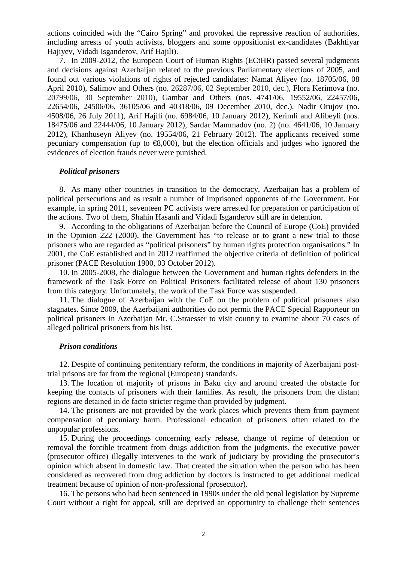actions coincided with the "Cairo Spring" and provoked the repressive reaction of authorities, including arrests of youth activists, bloggers and some oppositionist ex-candidates (Bakhtiyar Hajiyev, Vidadi Isganderov, Arif Hajili).

7. In 2009-2012, the European Court of Human Rights (ECtHR) passed several judgments and decisions against Azerbaijan related to the previous Parliamentary elections of 2005, and found out various violations of rights of rejected candidates: Namat Aliyev (no. 18705/06, 08 April 2010), Salimov and Others (no. 26287/06, 02 September 2010, dec.), Flora Kerimova (no. 20799/06, 30 September 2010), Gambar and Others (nos. 4741/06, 19552/06, 22457/06, 22654/06, 24506/06, 36105/06 and 40318/06, 09 December 2010, dec.), Nadir Orujov (no. 4508/06, 26 July 2011), Arif Hajili (no. 6984/06, 10 January 2012), Kerimli and Alibeyli (nos. 18475/06 and 22444/06, 10 January 2012), Sardar Mammadov (no. 2) (no. 4641/06, 10 January 2012), Khanhuseyn Aliyev (no. 19554/06, 21 February 2012). The applicants received some pecuniary compensation (up to  $\epsilon$ 8,000), but the election officials and judges who ignored the evidences of election frauds never were punished.

#### *Political prisoners*

8. As many other countries in transition to the democracy, Azerbaijan has a problem of political persecutions and as result a number of imprisoned opponents of the Government. For example, in spring 2011, seventeen PC activists were arrested for preparation or participation of the actions. Two of them, Shahin Hasanli and Vidadi Isganderov still are in detention.

9. According to the obligations of Azerbaijan before the Council of Europe (CoE) provided in the Opinion  $222$  (2000), the Government has "to release or to grant a new trial to those prisoners who are regarded as "political prisoners" by human rights protection organisations." In 2001, the CoE established and in 2012 reaffirmed the objective criteria of definition of political prisoner (PACE Resolution 1900, 03 October 2012).

10. In 2005-2008, the dialogue between the Government and human rights defenders in the framework of the Task Force on Political Prisoners facilitated release of about 130 prisoners from this category. Unfortunately, the work of the Task Force was suspended.

11. The dialogue of Azerbaijan with the CoE on the problem of political prisoners also stagnates. Since 2009, the Azerbaijani authorities do not permit the PACE Special Rapporteur on political prisoners in Azerbaijan Mr. C.Straesser to visit country to examine about 70 cases of alleged political prisoners from his list.

#### *Prison conditions*

12. Despite of continuing penitentiary reform, the conditions in majority of Azerbaijani posttrial prisons are far from the regional (European) standards.

13. The location of majority of prisons in Baku city and around created the obstacle for keeping the contacts of prisoners with their families. As result, the prisoners from the distant regions are detained in de facto stricter regime than provided by judgment.

14. The prisoners are not provided by the work places which prevents them from payment compensation of pecuniary harm. Professional education of prisoners often related to the unpopular professions.

15. During the proceedings concerning early release, change of regime of detention or removal the forcible treatment from drugs addiction from the judgments, the executive power (prosecutor office) illegally intervenes to the work of judiciary by providing the prosecutor's opinion which absent in domestic law. That created the situation when the person who has been considered as recovered from drug addiction by doctors is instructed to get additional medical treatment because of opinion of non-professional (prosecutor).

16. The persons who had been sentenced in 1990s under the old penal legislation by Supreme Court without a right for appeal, still are deprived an opportunity to challenge their sentences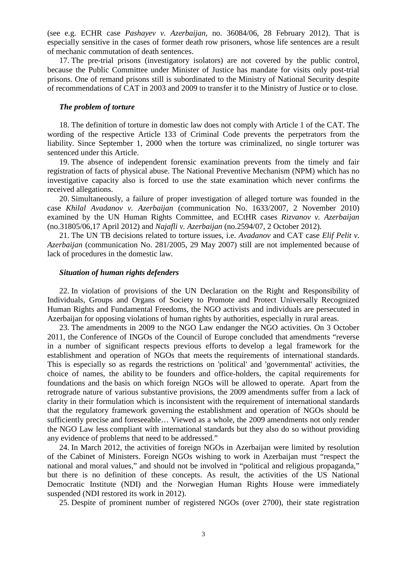(see e.g. ECHR case *Pashayev v. Azerbaijan*, no. 36084/06, 28 February 2012). That is especially sensitive in the cases of former death row prisoners, whose life sentences are a result of mechanic commutation of death sentences.

17. The pre-trial prisons (investigatory isolators) are not covered by the public control, because the Public Committee under Minister of Justice has mandate for visits only post-trial prisons. One of remand prisons still is subordinated to the Ministry of National Security despite of recommendations of CAT in 2003 and 2009 to transfer it to the Ministry of Justice or to close.

#### *The problem of torture*

18. The definition of torture in domestic law does not comply with Article 1 of the CAT. The wording of the respective Article 133 of Criminal Code prevents the perpetrators from the liability. Since September 1, 2000 when the torture was criminalized, no single torturer was sentenced under this Article.

19. The absence of independent forensic examination prevents from the timely and fair registration of facts of physical abuse. The National Preventive Mechanism (NPM) which has no investigative capacity also is forced to use the state examination which never confirms the received allegations.

20. Simultaneously, a failure of proper investigation of alleged torture was founded in the case *Khilal Avadanov v. Azerbaijan* (communication No. 1633/2007, 2 November 2010) examined by the UN Human Rights Committee, and ECtHR cases *Rizvanov v. Azerbaijan* (no.31805/06,17 April 2012) and *Najafli v. Azerbaijan* (no.2594/07, 2 October 2012).

21. The UN TB decisions related to torture issues, i.e. *Avadanov* and CAT case *Elif Pelit v. Azerbaijan* (communication No. 281/2005, 29 May 2007) still are not implemented because of lack of procedures in the domestic law.

#### *Situation of human rights defenders*

22. In violation of provisions of the UN Declaration on the Right and Responsibility of Individuals, Groups and Organs of Society to Promote and Protect Universally Recognized Human Rights and Fundamental Freedoms, the NGO activists and individuals are persecuted in Azerbaijan for opposing violations of human rights by authorities, especially in rural areas.

23. The amendments in 2009 to the NGO Law endanger the NGO activities. On 3 October 2011, the Conference of INGOs of the Council of Europe concluded that amendments "reverse in a number of significant respects previous efforts to develop a legal framework for the establishment and operation of NGOs that meets the requirements of international standards. This is especially so as regards the restrictions on 'political' and 'governmental' activities, the choice of names, the ability to be founders and office-holders, the capital requirements for foundations and the basis on which foreign NGOs will be allowed to operate. Apart from the retrograde nature of various substantive provisions, the 2009 amendments suffer from a lack of clarity in their formulation which is inconsistent with the requirement of international standards that the regulatory framework governing the establishment and operation of NGOs should be sufficiently precise and foreseeable… Viewed as a whole, the 2009 amendments not only render the NGO Law less compliant with international standards but they also do so without providing any evidence of problems that need to be addressed."

24. In March 2012, the activities of foreign NGOs in Azerbaijan were limited by resolution of the Cabinet of Ministers. Foreign NGOs wishing to work in Azerbaijan must "respect the national and moral values," and should not be involved in "political and religious propaganda," but there is no definition of these concepts. As result, the activities of the US National Democratic Institute (NDI) and the Norwegian Human Rights House were immediately suspended (NDI restored its work in 2012).

25. Despite of prominent number of registered NGOs (over 2700), their state registration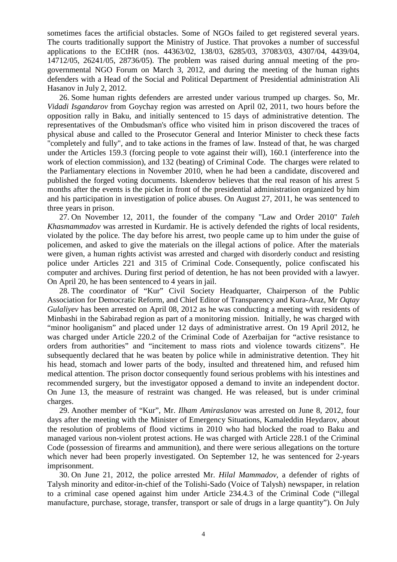sometimes faces the artificial obstacles. Some of NGOs failed to get registered several years. The courts traditionally support the Ministry of Justice. That provokes a number of successful applications to the ECtHR (nos. 44363/02, 138/03, 6285/03, 37083/03, 4307/04, 4439/04, 14712/05, 26241/05, 28736/05). The problem was raised during annual meeting of the progovernmental NGO Forum on March 3, 2012, and during the meeting of the human rights defenders with a Head of the Social and Political Department of Presidential administration Ali Hasanov in July 2, 2012.

26. Some human rights defenders are arrested under various trumped up charges. So, Mr. *Vidadi Isgandarov* from Goychay region was arrested on April 02, 2011, two hours before the opposition rally in Baku, and initially sentenced to 15 days of administrative detention. The representatives of the Ombudsman's office who visited him in prison discovered the traces of physical abuse and called to the Prosecutor General and Interior Minister to check these facts "completely and fully", and to take actions in the frames of law. Instead of that, he was charged under the Articles 159.3 (forcing people to vote against their will), 160.1 (interference into the work of election commission), and 132 (beating) of Criminal Code. The charges were related to the Parliamentary elections in November 2010, when he had been a candidate, discovered and published the forged voting documents. Iskenderov believes that the real reason of his arrest 5 months after the events is the picket in front of the presidential administration organized by him and his participation in investigation of police abuses. On August 27, 2011, he was sentenced to three years in prison.

27. On November 12, 2011, the founder of the company "Law and Order 2010" *Taleh Khasmammadov* was arrested in Kurdamir. He is actively defended the rights of local residents, violated by the police. The day before his arrest, two people came up to him under the guise of policemen, and asked to give the materials on the illegal actions of police. After the materials were given, a human rights activist was arrested and charged with disorderly conduct and resisting police under Articles 221 and 315 of Criminal Code. Consequently, police confiscated his computer and archives. During first period of detention, he has not been provided with a lawyer. On April 20, he has been sentenced to 4 years in jail.

28. The coordinator of "Kur" Civil Society Headquarter, Chairperson of the Public Association for Democratic Reform, and Chief Editor of Transparency and Kura-Araz, Mr *Oqtay Gulaliyev* has been arrested on April 08, 2012 as he was conducting a meeting with residents of Minbashi in the Sabirabad region as part of a monitoring mission. Initially, he was charged with "minor hooliganism" and placed under 12 days of administrative arrest. On 19 April 2012, he was charged under Article 220.2 of the Criminal Code of Azerbaijan for "active resistance to orders from authorities" and "incitement to mass riots and violence towards citizens". He subsequently declared that he was beaten by police while in administrative detention. They hit his head, stomach and lower parts of the body, insulted and threatened him, and refused him medical attention. The prison doctor consequently found serious problems with his intestines and recommended surgery, but the investigator opposed a demand to invite an independent doctor. On June 13, the measure of restraint was changed. He was released, but is under criminal charges.

29. Another member of "Kur", Mr. *Ilham Amiraslanov* was arrested on June 8, 2012, four days after the meeting with the Minister of Emergency Situations, Kamaleddin Heydarov, about the resolution of problems of flood victims in 2010 who had blocked the road to Baku and managed various non-violent protest actions. He was charged with Article 228.1 of the Criminal Code (possession of firearms and ammunition), and there were serious allegations on the torture which never had been properly investigated. On September 12, he was sentenced for 2-years imprisonment.

30. On June 21, 2012, the police arrested Mr. *Hilal Mammadov*, a defender of rights of Talysh minority and editor-in-chief of the Tolishi-Sado (Voice of Talysh) newspaper, in relation to a criminal case opened against him under Article 234.4.3 of the Criminal Code ("illegal manufacture, purchase, storage, transfer, transport or sale of drugs in a large quantity"). On July